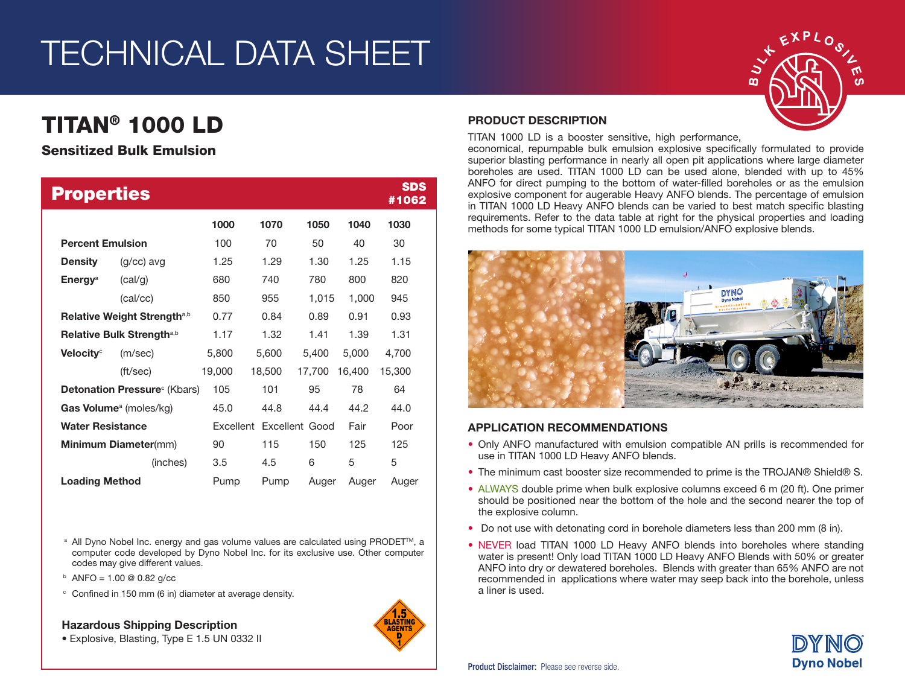## TECHNICAL DATA SHEET

### TITAN® 1000 LD

### Sensitized Bulk Emulsion

| <b>Properties</b>                       |              |           |        |                |        | <b>SDS</b><br>#1062 |
|-----------------------------------------|--------------|-----------|--------|----------------|--------|---------------------|
|                                         |              | 1000      | 1070   | 1050           | 1040   | 1030                |
| <b>Percent Emulsion</b>                 |              | 100       | 70     | 50             | 40     | 30                  |
| <b>Density</b>                          | $(q/cc)$ avg | 1.25      | 1.29   | 1.30           | 1.25   | 1.15                |
| <b>Energy</b> <sup>a</sup>              | (cal/g)      | 680       | 740    | 780            | 800    | 820                 |
|                                         | (cal/cc)     | 850       | 955    | 1,015          | 1,000  | 945                 |
| Relative Weight Strength <sup>a,b</sup> |              | 0.77      | 0.84   | 0.89           | 0.91   | 0.93                |
| Relative Bulk Strength <sup>a,b</sup>   |              | 1.17      | 1.32   | 1.41           | 1.39   | 1.31                |
| Velocity <sup>c</sup>                   | (m/sec)      | 5,800     | 5,600  | 5,400          | 5,000  | 4,700               |
|                                         | (ft/sec)     | 19,000    | 18,500 | 17,700         | 16,400 | 15,300              |
| <b>Detonation Pressure</b> (Kbars)      |              | 105       | 101    | 95             | 78     | 64                  |
| Gas Volume <sup>a</sup> (moles/kg)      |              | 45.0      | 44.8   | 44.4           | 44.2   | 44.0                |
| <b>Water Resistance</b>                 |              | Excellent |        | Excellent Good | Fair   | Poor                |
| <b>Minimum Diameter(mm)</b>             |              | 90        | 115    | 150            | 125    | 125                 |
|                                         | (inches)     | 3.5       | 4.5    | 6              | 5      | 5                   |
| <b>Loading Method</b>                   |              | Pump      | Pump   | Auger          | Auger  | Auger               |

<sup>a</sup> All Dyno Nobel Inc. energy and gas volume values are calculated using PRODET<sup>™</sup>, a computer code developed by Dyno Nobel Inc. for its exclusive use. Other computer codes may give different values.

- $b$  ANFO = 1.00 @ 0.82 g/cc
- <sup>c</sup> Confined in 150 mm (6 in) diameter at average density.

Hazardous Shipping Description





### PRODUCT DESCRIPTION

TITAN 1000 LD is a booster sensitive, high performance,

economical, repumpable bulk emulsion explosive specifically formulated to provide superior blasting performance in nearly all open pit applications where large diameter boreholes are used. TITAN 1000 LD can be used alone, blended with up to 45% ANFO for direct pumping to the bottom of water-filled boreholes or as the emulsion explosive component for augerable Heavy ANFO blends. The percentage of emulsion in TITAN 1000 LD Heavy ANFO blends can be varied to best match specific blasting requirements. Refer to the data table at right for the physical properties and loading methods for some typical TITAN 1000 LD emulsion/ANFO explosive blends.



### APPLICATION RECOMMENDATIONS

- Only ANFO manufactured with emulsion compatible AN prills is recommended for use in TITAN 1000 LD Heavy ANFO blends.
- The minimum cast booster size recommended to prime is the TROJAN® Shield® S.
- ALWAYS double prime when bulk explosive columns exceed 6 m (20 ft). One primer should be positioned near the bottom of the hole and the second nearer the top of the explosive column.
- Do not use with detonating cord in borehole diameters less than 200 mm (8 in).
- NEVER load TITAN 1000 LD Heavy ANFO blends into boreholes where standing water is present! Only load TITAN 1000 LD Heavy ANFO Blends with 50% or greater ANFO into dry or dewatered boreholes. Blends with greater than 65% ANFO are not recommended in applications where water may seep back into the borehole, unless a liner is used.

ഗ